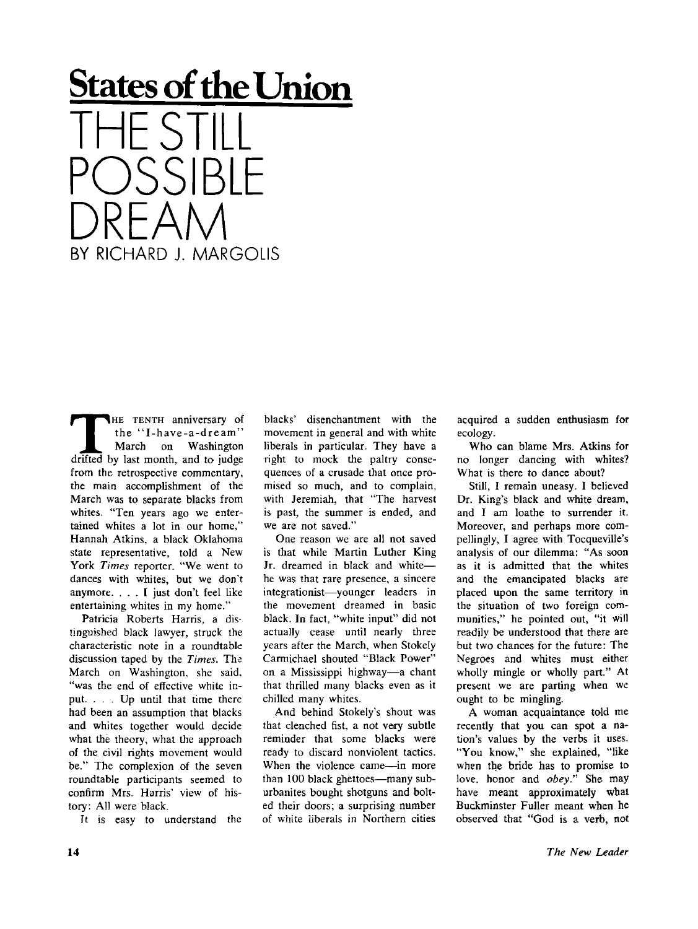## **States of the Union**  IF ST SIRIF DREAM BY RICHARD J. MARGOLIS

**THE TENTH anniversary of**<br>
the "I-have-a-dream"<br>
March on Washington<br>
drifted by last month, and to judge HE TENTH anniversary of the "I-have-a-dream " March on Washington from the retrospective commentary, the main accomplishment of the March was to separate blacks from whites. "Ten years ago we entertained whites a lot in our home," Hannah Atkins, a black Oklahoma state representative, told a New York *Times* reporter. "We went to dances with whites, but we don't anymore. .. . I just don't feel like entertaining whites in my home."

Patricia Roberts Harris, a distinguished black lawyer, struck the characteristic note in a roundtable discussion taped by the *Times.* The March on Washington, she said, "was the end of effective white input. .. . Up until that time there had been an assumption that blacks and whites together would decide what the theory, what the approach of the civil rights movement would be." The complexion of the seven roundtable participants seemed to confirm Mrs. Harris' view of history: All were black.

It is easy to understand the

blacks' disenchantment with the movement in general and with white liberals in particular. They have a right to mock the paltry consequences of a crusade that once promised so much, and to complain, with Jeremiah, that "The harvest is past, the summer is ended, and we are not saved."

One reason we are all not saved is that while Martin Luther King Jr. dreamed in black and white he was that rare presence, a sincere integrationist—younger leaders in the movement dreamed in basic black. In fact, "white input" did not actually cease until nearly three years after the March, when Stokely Carmichael shouted "Black Power" on a Mississippi highway—a chant that thrilled many blacks even as it chilled many whites.

And behind Stokely's shout was that clenched fist, a not vary subtle reminder that some blacks were ready to discard nonviolent tactics. When the violence came—in more than 100 black ghettoes—many suburbanites bought shotguns and bolted their doors; a surprising number of white liberals in Northern cities

acquired a sudden enthusiasm for ecology.

Who can blame Mrs. Atkins for no longer dancing with whites'? What is there to dance about?

Still, I remain uneasy. I believed Dr. King's black and white dream, and I am loathe to surrender it. Moreover, and perhaps more compellingly, I agree with Tocqueville's analysis of our dilemma: "As soon as it is admitted that the whites and the emancipated blacks are placed upon the same territory in the situation of two foreign communities," he pointed out, "it will readily be understood that there are but two chances for the future: The Negroes and whites must either wholly mingle or wholly part." At present we are parting when we ought to be mingling.

A woman acquaintance told me recently that you can spot a nation's values by the verbs it uses. "You know," she explained, "like when the bride has to promise to love, honor and *obey."* She may have meant approximately what Buckminster Fuller meant when he observed that "God is a verb, not